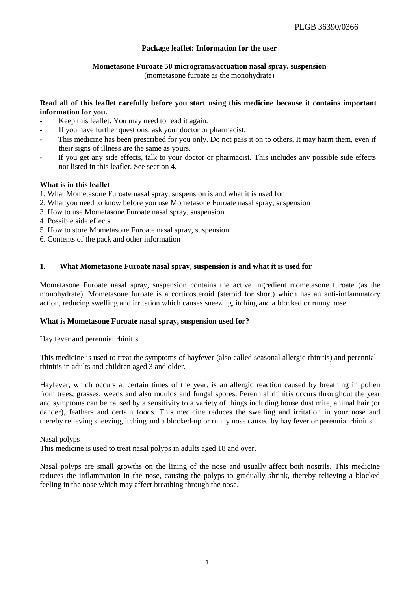# **Package leaflet: Information for the user**

# **Mometasone Furoate 50 micrograms/actuation nasal spray. suspension**

(mometasone furoate as the monohydrate)

# **Read all of this leaflet carefully before you start using this medicine because it contains important information for you.**

- Keep this leaflet. You may need to read it again.
- If you have further questions, ask your doctor or pharmacist.
- This medicine has been prescribed for you only. Do not pass it on to others. It may harm them, even if their signs of illness are the same as yours.
- If you get any side effects, talk to your doctor or pharmacist. This includes any possible side effects not listed in this leaflet. See section 4.

# **What is in this leaflet**

- 1. What Mometasone Furoate nasal spray, suspension is and what it is used for
- 2. What you need to know before you use Mometasone Furoate nasal spray, suspension
- 3. How to use Mometasone Furoate nasal spray, suspension
- 4. Possible side effects
- 5. How to store Mometasone Furoate nasal spray, suspension
- 6. Contents of the pack and other information

# **1. What Mometasone Furoate nasal spray, suspension is and what it is used for**

Mometasone Furoate nasal spray, suspension contains the active ingredient mometasone furoate (as the monohydrate). Mometasone furoate is a corticosteroid (steroid for short) which has an anti-inflammatory action, reducing swelling and irritation which causes sneezing, itching and a blocked or runny nose.

# **What is Mometasone Furoate nasal spray, suspension used for?**

Hay fever and perennial rhinitis.

This medicine is used to treat the symptoms of hayfever (also called seasonal allergic rhinitis) and perennial rhinitis in adults and children aged 3 and older.

Hayfever, which occurs at certain times of the year, is an allergic reaction caused by breathing in pollen from trees, grasses, weeds and also moulds and fungal spores. Perennial rhinitis occurs throughout the year and symptoms can be caused by a sensitivity to a variety of things including house dust mite, animal hair (or dander), feathers and certain foods. This medicine reduces the swelling and irritation in your nose and thereby relieving sneezing, itching and a blocked-up or runny nose caused by hay fever or perennial rhinitis.

Nasal polyps

This medicine is used to treat nasal polyps in adults aged 18 and over.

Nasal polyps are small growths on the lining of the nose and usually affect both nostrils. This medicine reduces the inflammation in the nose, causing the polyps to gradually shrink, thereby relieving a blocked feeling in the nose which may affect breathing through the nose.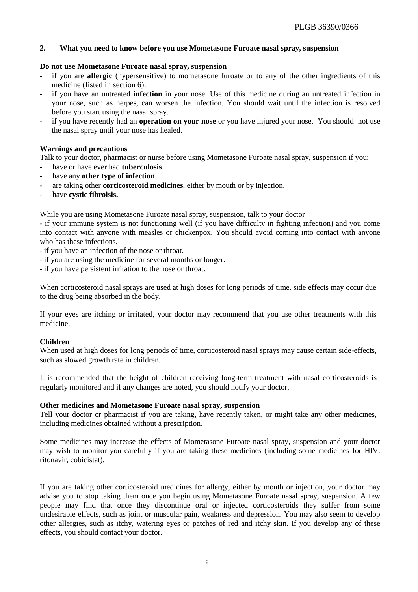# **2. What you need to know before you use Mometasone Furoate nasal spray, suspension**

### **Do not use Mometasone Furoate nasal spray, suspension**

- if you are **allergic** (hypersensitive) to mometasone furoate or to any of the other ingredients of this medicine (listed in section 6).
- if you have an untreated *infection* in your nose. Use of this medicine during an untreated infection in your nose, such as herpes, can worsen the infection. You should wait until the infection is resolved before you start using the nasal spray.
- if you have recently had an **operation on your nose** or you have injured your nose. You should not use the nasal spray until your nose has healed.

# **Warnings and precautions**

Talk to your doctor, pharmacist or nurse before using Mometasone Furoate nasal spray, suspension if you:

- have or have ever had **tuberculosis**.
- have any **other type of infection**.
- are taking other **corticosteroid medicines**, either by mouth or by injection.
- have **cystic fibroisis.**

While you are using Mometasone Furoate nasal spray, suspension, talk to your doctor

- if your immune system is not functioning well (if you have difficulty in fighting infection) and you come into contact with anyone with measles or chickenpox. You should avoid coming into contact with anyone who has these infections.

- if you have an infection of the nose or throat.

- if you are using the medicine for several months or longer.
- if you have persistent irritation to the nose or throat.

When corticosteroid nasal sprays are used at high doses for long periods of time, side effects may occur due to the drug being absorbed in the body.

If your eyes are itching or irritated, your doctor may recommend that you use other treatments with this medicine.

### **Children**

When used at high doses for long periods of time, corticosteroid nasal sprays may cause certain side-effects, such as slowed growth rate in children.

It is recommended that the height of children receiving long-term treatment with nasal corticosteroids is regularly monitored and if any changes are noted, you should notify your doctor.

### **Other medicines and Mometasone Furoate nasal spray, suspension**

Tell your doctor or pharmacist if you are taking, have recently taken, or might take any other medicines, including medicines obtained without a prescription.

Some medicines may increase the effects of Mometasone Furoate nasal spray, suspension and your doctor may wish to monitor you carefully if you are taking these medicines (including some medicines for HIV: ritonavir, cobicistat).

If you are taking other corticosteroid medicines for allergy, either by mouth or injection, your doctor may advise you to stop taking them once you begin using Mometasone Furoate nasal spray, suspension. A few people may find that once they discontinue oral or injected corticosteroids they suffer from some undesirable effects, such as joint or muscular pain, weakness and depression. You may also seem to develop other allergies, such as itchy, watering eyes or patches of red and itchy skin. If you develop any of these effects, you should contact your doctor.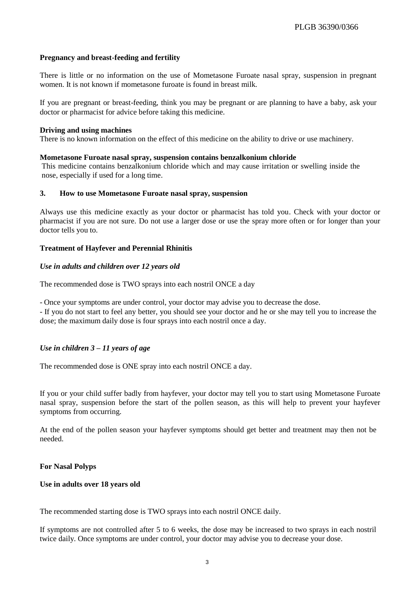# **Pregnancy and breast-feeding and fertility**

There is little or no information on the use of Mometasone Furoate nasal spray, suspension in pregnant women. It is not known if mometasone furoate is found in breast milk.

If you are pregnant or breast-feeding, think you may be pregnant or are planning to have a baby, ask your doctor or pharmacist for advice before taking this medicine.

#### **Driving and using machines**

There is no known information on the effect of this medicine on the ability to drive or use machinery.

#### **Mometasone Furoate nasal spray, suspension contains benzalkonium chloride**

This medicine contains benzalkonium chloride which and may cause irritation or swelling inside the nose, especially if used for a long time.

#### **3. How to use Mometasone Furoate nasal spray, suspension**

Always use this medicine exactly as your doctor or pharmacist has told you. Check with your doctor or pharmacist if you are not sure. Do not use a larger dose or use the spray more often or for longer than your doctor tells you to.

### **Treatment of Hayfever and Perennial Rhinitis**

### *Use in adults and children over 12 years old*

The recommended dose is TWO sprays into each nostril ONCE a day

- Once your symptoms are under control, your doctor may advise you to decrease the dose.

- If you do not start to feel any better, you should see your doctor and he or she may tell you to increase the dose; the maximum daily dose is four sprays into each nostril once a day.

### *Use in children 3 – 11 years of age*

The recommended dose is ONE spray into each nostril ONCE a day.

If you or your child suffer badly from hayfever, your doctor may tell you to start using Mometasone Furoate nasal spray, suspension before the start of the pollen season, as this will help to prevent your hayfever symptoms from occurring.

At the end of the pollen season your hayfever symptoms should get better and treatment may then not be needed.

### **For Nasal Polyps**

#### **Use in adults over 18 years old**

The recommended starting dose is TWO sprays into each nostril ONCE daily.

If symptoms are not controlled after 5 to 6 weeks, the dose may be increased to two sprays in each nostril twice daily. Once symptoms are under control, your doctor may advise you to decrease your dose.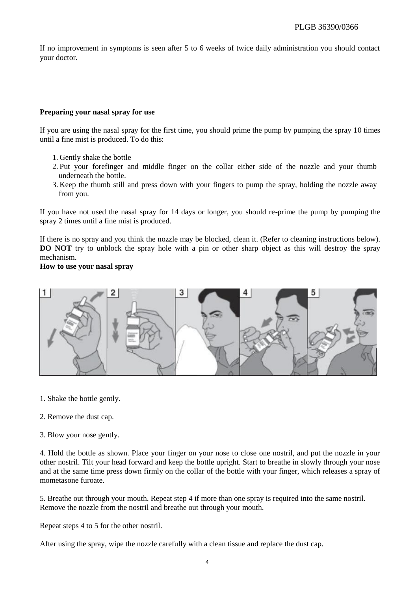If no improvement in symptoms is seen after 5 to 6 weeks of twice daily administration you should contact your doctor.

### **Preparing your nasal spray for use**

If you are using the nasal spray for the first time, you should prime the pump by pumping the spray 10 times until a fine mist is produced. To do this:

- 1. Gently shake the bottle
- 2. Put your forefinger and middle finger on the collar either side of the nozzle and your thumb underneath the bottle.
- 3. Keep the thumb still and press down with your fingers to pump the spray, holding the nozzle away from you.

If you have not used the nasal spray for 14 days or longer, you should re-prime the pump by pumping the spray 2 times until a fine mist is produced.

If there is no spray and you think the nozzle may be blocked, clean it. (Refer to cleaning instructions below). **DO NOT** try to unblock the spray hole with a pin or other sharp object as this will destroy the spray mechanism.

**How to use your nasal spray**



- 1. Shake the bottle gently.
- 2. Remove the dust cap.
- 3. Blow your nose gently.

4. Hold the bottle as shown. Place your finger on your nose to close one nostril, and put the nozzle in your other nostril. Tilt your head forward and keep the bottle upright. Start to breathe in slowly through your nose and at the same time press down firmly on the collar of the bottle with your finger, which releases a spray of mometasone furoate.

5. Breathe out through your mouth. Repeat step 4 if more than one spray is required into the same nostril. Remove the nozzle from the nostril and breathe out through your mouth.

Repeat steps 4 to 5 for the other nostril.

After using the spray, wipe the nozzle carefully with a clean tissue and replace the dust cap.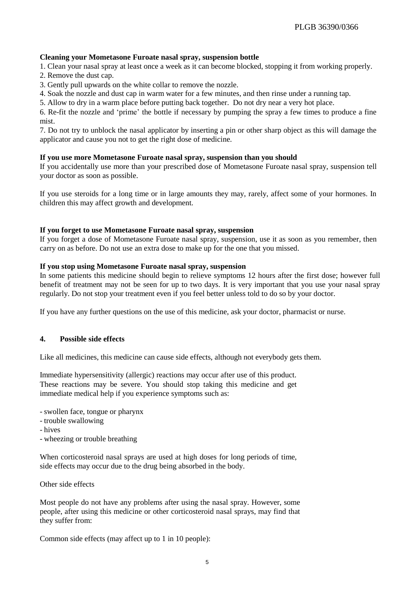### **Cleaning your Mometasone Furoate nasal spray, suspension bottle**

1. Clean your nasal spray at least once a week as it can become blocked, stopping it from working properly.

2. Remove the dust cap.

3. Gently pull upwards on the white collar to remove the nozzle.

4. Soak the nozzle and dust cap in warm water for a few minutes, and then rinse under a running tap.

5. Allow to dry in a warm place before putting back together. Do not dry near a very hot place.

6. Re-fit the nozzle and 'prime' the bottle if necessary by pumping the spray a few times to produce a fine mist.

7. Do not try to unblock the nasal applicator by inserting a pin or other sharp object as this will damage the applicator and cause you not to get the right dose of medicine.

### **If you use more Mometasone Furoate nasal spray, suspension than you should**

If you accidentally use more than your prescribed dose of Mometasone Furoate nasal spray, suspension tell your doctor as soon as possible.

If you use steroids for a long time or in large amounts they may, rarely, affect some of your hormones. In children this may affect growth and development.

# **If you forget to use Mometasone Furoate nasal spray, suspension**

If you forget a dose of Mometasone Furoate nasal spray, suspension, use it as soon as you remember, then carry on as before. Do not use an extra dose to make up for the one that you missed.

### **If you stop using Mometasone Furoate nasal spray, suspension**

In some patients this medicine should begin to relieve symptoms 12 hours after the first dose; however full benefit of treatment may not be seen for up to two days. It is very important that you use your nasal spray regularly. Do not stop your treatment even if you feel better unless told to do so by your doctor.

If you have any further questions on the use of this medicine, ask your doctor, pharmacist or nurse.

# **4. Possible side effects**

Like all medicines, this medicine can cause side effects, although not everybody gets them.

Immediate hypersensitivity (allergic) reactions may occur after use of this product. These reactions may be severe. You should stop taking this medicine and get immediate medical help if you experience symptoms such as:

- swollen face, tongue or pharynx

- trouble swallowing
- hives
- wheezing or trouble breathing

When corticosteroid nasal sprays are used at high doses for long periods of time, side effects may occur due to the drug being absorbed in the body.

Other side effects

Most people do not have any problems after using the nasal spray. However, some people, after using this medicine or other corticosteroid nasal sprays, may find that they suffer from:

Common side effects (may affect up to 1 in 10 people):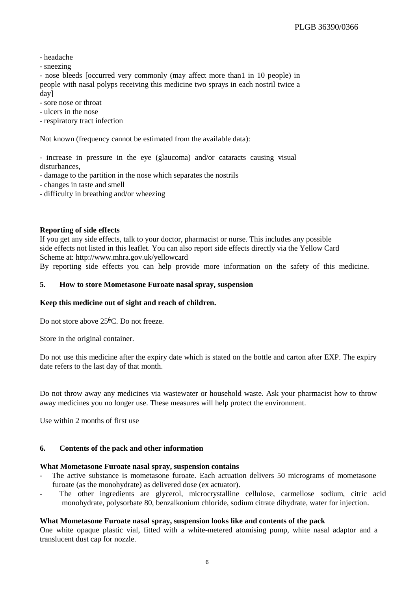- headache

- sneezing

- nose bleeds [occurred very commonly (may affect more than1 in 10 people) in people with nasal polyps receiving this medicine two sprays in each nostril twice a day]

- sore nose or throat

- ulcers in the nose

- respiratory tract infection

Not known (frequency cannot be estimated from the available data):

- increase in pressure in the eye (glaucoma) and/or cataracts causing visual disturbances,

- damage to the partition in the nose which separates the nostrils

- changes in taste and smell

- difficulty in breathing and/or wheezing

# **Reporting of side effects**

If you get any side effects, talk to your doctor, pharmacist or nurse. This includes any possible side effects not listed in this leaflet. You can also report side effects directly via the Yellow Card Scheme at: <http://www.mhra.gov.uk/yellowcard>

By reporting side effects you can help provide more information on the safety of this medicine.

# **5. How to store Mometasone Furoate nasal spray, suspension**

### **Keep this medicine out of sight and reach of children.**

Do not store above  $25\text{C}$ . Do not freeze.

Store in the original container.

Do not use this medicine after the expiry date which is stated on the bottle and carton after EXP. The expiry date refers to the last day of that month.

Do not throw away any medicines via wastewater or household waste. Ask your pharmacist how to throw away medicines you no longer use. These measures will help protect the environment.

Use within 2 months of first use

### **6. Contents of the pack and other information**

### **What Mometasone Furoate nasal spray, suspension contains**

- The active substance is mometasone furoate. Each actuation delivers 50 micrograms of mometasone furoate (as the monohydrate) as delivered dose (ex actuator).
- The other ingredients are glycerol, microcrystalline cellulose, carmellose sodium, citric acid monohydrate, polysorbate 80, benzalkonium chloride, sodium citrate dihydrate, water for injection.

### **What Mometasone Furoate nasal spray, suspension looks like and contents of the pack**

One white opaque plastic vial, fitted with a white-metered atomising pump, white nasal adaptor and a translucent dust cap for nozzle.